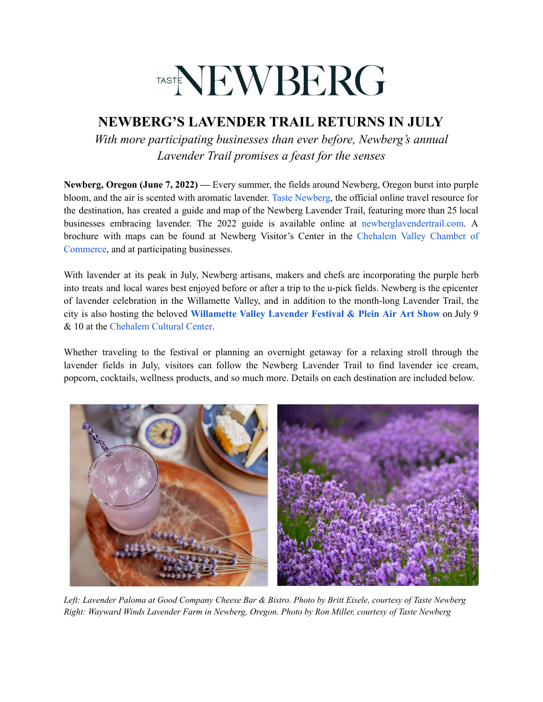# TASTENEWBERG

## **NEWBERG'S LAVENDER TRAIL RETURNS IN JULY**

*With more participating businesses than ever before, Newberg's annual Lavender Trail promises a feast for the senses*

**Newberg, Oregon (June 7, 2022) —** Every summer, the fields around Newberg, Oregon burst into purple bloom, and the air is scented with aromatic lavender. Taste [Newberg,](https://tastenewberg.com/) the official online travel resource for the destination, has created a guide and map of the Newberg Lavender Trail, featuring more than 25 local businesses embracing lavender. The 2022 guide is available online at [newberglavendertrail.com](https://tastenewberg.com/lavendertrail). A brochure with maps can be found at Newberg Visitor's Center in the [Chehalem](https://www.chehalemvalley.org/) Valley Chamber of [Commerce](https://www.chehalemvalley.org/), and at participating businesses.

With lavender at its peak in July, Newberg artisans, makers and chefs are incorporating the purple herb into treats and local wares best enjoyed before or after a trip to the u-pick fields. Newberg is the epicenter of lavender celebration in the Willamette Valley, and in addition to the month-long Lavender Trail, the city is also hosting the beloved **[Willamette](https://www.chehalemculturalcenter.org/lavender) Valley Lavender Festival & Plein Air Art Show** on July 9 & 10 at the [Chehalem](https://www.chehalemculturalcenter.org/) Cultural Center.

Whether traveling to the festival or planning an overnight getaway for a relaxing stroll through the lavender fields in July, visitors can follow the Newberg Lavender Trail to find lavender ice cream, popcorn, cocktails, wellness products, and so much more. Details on each destination are included below.



Left: Lavender Paloma at Good Company Cheese Bar & Bistro. Photo by Britt Eisele, courtesy of Taste Newberg *Right: Wayward Winds Lavender Farm in Newberg, Oregon. Photo by Ron Miller, courtesy of Taste Newberg*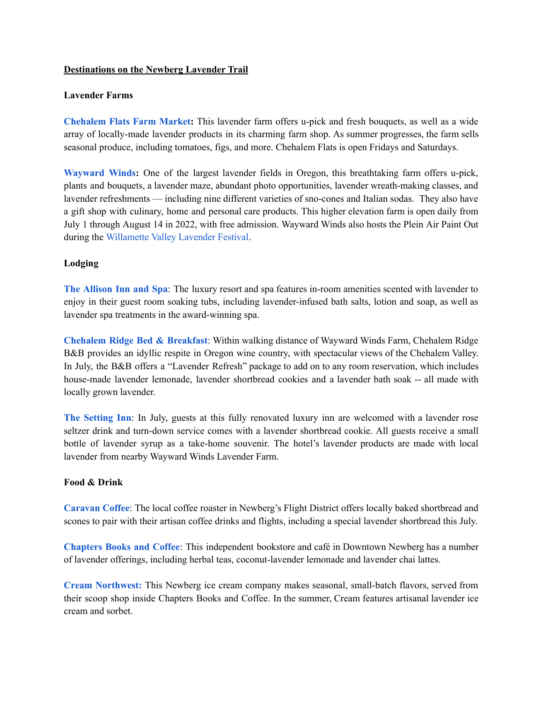#### **Destinations on the Newberg Lavender Trail**

### **Lavender Farms**

**[Chehalem](https://www.facebook.com/pg/ChehalemFlatsFarmMarket/about/?ref=page_internal) Flats Farm Market:** This lavender farm offers u-pick and fresh bouquets, as well as a wide array of locally-made lavender products in its charming farm shop. As summer progresses, the farm sells seasonal produce, including tomatoes, figs, and more. Chehalem Flats is open Fridays and Saturdays.

**[Wayward](https://olfactorywarehouse.com/) Winds:** One of the largest lavender fields in Oregon, this breathtaking farm offers u-pick, plants and bouquets, a lavender maze, abundant photo opportunities, lavender wreath-making classes, and lavender refreshments — including nine different varieties of sno-cones and Italian sodas. They also have a gift shop with culinary, home and personal care products. This higher elevation farm is open daily from July 1 through August 14 in 2022, with free admission. Wayward Winds also hosts the Plein Air Paint Out during the [Willamette](https://www.chehalemculturalcenter.org/lavender) Valley Lavender Festival.

### **Lodging**

**The [Allison](https://www.theallison.com/) Inn and Spa**: The luxury resort and spa features in-room amenities scented with lavender to enjoy in their guest room soaking tubs, including lavender-infused bath salts, lotion and soap, as well as lavender spa treatments in the award-winning spa.

**[Chehalem](https://chehalemridge.com/blog/lavender-in-willamette-valley/) Ridge Bed & Breakfast**: Within walking distance of Wayward Winds Farm, Chehalem Ridge B&B provides an idyllic respite in Oregon wine country, with spectacular views of the Chehalem Valley. In July, the B&B offers a "Lavender Refresh" package to add on to any room reservation, which includes house-made lavender lemonade, lavender shortbread cookies and a lavender bath soak -- all made with locally grown lavender.

**The [Setting](https://www.thesettinginnwillamette.com) Inn**: In July, guests at this fully renovated luxury inn are welcomed with a lavender rose seltzer drink and turn-down service comes with a lavender shortbread cookie. All guests receive a small bottle of lavender syrup as a take-home souvenir. The hotel's lavender products are made with local lavender from nearby Wayward Winds Lavender Farm.

#### **Food & Drink**

**[Caravan](https://caravancoffee.com) Coffee**: The local coffee roaster in Newberg's Flight District offers locally baked shortbread and scones to pair with their artisan coffee drinks and flights, including a special lavender shortbread this July.

**[Chapters](http://www.chaptersbooksandcoffee.com/) Books and Coffee**: This independent bookstore and café in Downtown Newberg has a number of lavender offerings, including herbal teas, coconut-lavender lemonade and lavender chai lattes.

**Cream [Northwest:](http://www.creamnorthwest.com/)** This Newberg ice cream company makes seasonal, small-batch flavors, served from their scoop shop inside Chapters Books and Coffee. In the summer, Cream features artisanal lavender ice cream and sorbet.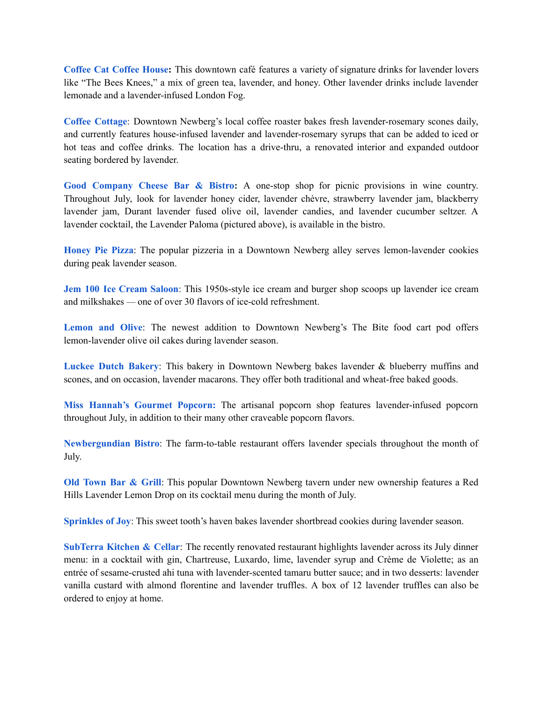**[Coffee](https://coffeecatcoffeehouse.square.site/) Cat Coffee House:** This downtown café features a variety of signature drinks for lavender lovers like "The Bees Knees," a mix of green tea, lavender, and honey. Other lavender drinks include lavender lemonade and a lavender-infused London Fog.

**Coffee [Cottage](https://www.facebook.com/The-Coffee-Cottage-52236840699/)**: Downtown Newberg's local coffee roaster bakes fresh lavender-rosemary scones daily, and currently features house-infused lavender and lavender-rosemary syrups that can be added to iced or hot teas and coffee drinks. The location has a drive-thru, a renovated interior and expanded outdoor seating bordered by lavender.

**Good [Company](https://goodcompanycheese.com/) Cheese Bar & Bistro:** A one-stop shop for picnic provisions in wine country. Throughout July, look for lavender honey cider, lavender chèvre, strawberry lavender jam, blackberry lavender jam, Durant lavender fused olive oil, lavender candies, and lavender cucumber seltzer. A lavender cocktail, the Lavender Paloma (pictured above), is available in the bistro.

**[Honey](https://honeypie.pizza) Pie Pizza**: The popular pizzeria in a Downtown Newberg alley serves lemon-lavender cookies during peak lavender season.

**Jem 100 Ice [Cream](http://jem100.com/) Saloon**: This 1950s-style ice cream and burger shop scoops up lavender ice cream and milkshakes — one of over 30 flavors of ice-cold refreshment.

**[Lemon](https://www.lemonandolivefoods.com) and Olive**: The newest addition to Downtown Newberg's The Bite food cart pod offers lemon-lavender olive oil cakes during lavender season.

**[Luckee](https://luckeedutch.com) Dutch Bakery**: This bakery in Downtown Newberg bakes lavender & blueberry muffins and scones, and on occasion, lavender macarons. They offer both traditional and wheat-free baked goods.

**Miss [Hannah's](https://www.misshannahspopcorn.com/) Gourmet Popcorn:** The artisanal popcorn shop features lavender-infused popcorn throughout July, in addition to their many other craveable popcorn flavors.

**[Newbergundian](https://www.newbergundian.com) Bistro**: The farm-to-table restaurant offers lavender specials throughout the month of July.

**Old [Town](https://www.oldtownbarnewberg.com) Bar & Grill**: This popular Downtown Newberg tavern under new ownership features a Red Hills Lavender Lemon Drop on its cocktail menu during the month of July.

**[Sprinkles](https://www.sprinklesofjoy.net) of Joy**: This sweet tooth's haven bakes lavender shortbread cookies during lavender season.

**[SubTerra](https://subterrarestaurant.com) Kitchen & Cellar**: The recently renovated restaurant highlights lavender across its July dinner menu: in a cocktail with gin, Chartreuse, Luxardo, lime, lavender syrup and Crème de Violette; as an entrée of sesame-crusted ahi tuna with lavender-scented tamaru butter sauce; and in two desserts: lavender vanilla custard with almond florentine and lavender truffles. A box of 12 lavender truffles can also be ordered to enjoy at home.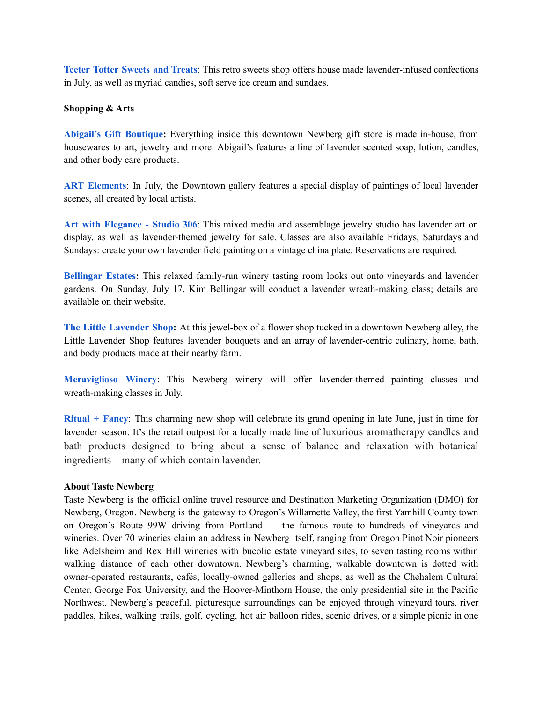**Teeter Totter [Sweets](https://www.facebook.com/teetertottercandy/) and Treats**: This retro sweets shop offers house made lavender-infused confections in July, as well as myriad candies, soft serve ice cream and sundaes.

### **Shopping & Arts**

**Abigail's Gift [Boutique:](https://www.abigailsgifts.shop/)** Everything inside this downtown Newberg gift store is made in-house, from housewares to art, jewelry and more. Abigail's features a line of lavender scented soap, lotion, candles, and other body care products.

**ART [Elements](https://www.artelementsgallery.com/pages/about-us)**: In July, the Downtown gallery features a special display of paintings of local lavender scenes, all created by local artists.

**Art with [Elegance](https://www.artwithelegance.com) - Studio 306**: This mixed media and assemblage jewelry studio has lavender art on display, as well as lavender-themed jewelry for sale. Classes are also available Fridays, Saturdays and Sundays: create your own lavender field painting on a vintage china plate. Reservations are required.

**[Bellingar](https://www.bellingarestates.com/) Estates:** This relaxed family-run winery tasting room looks out onto vineyards and lavender gardens. On Sunday, July 17, Kim Bellingar will conduct a lavender wreath-making class; details are available on their website.

**The Little [Lavender](https://www.littlelavenderfarm.com/) Shop:** At this jewel-box of a flower shop tucked in a downtown Newberg alley, the Little Lavender Shop features lavender bouquets and an array of lavender-centric culinary, home, bath, and body products made at their nearby farm.

**[Meraviglioso](https://www.facebook.com/meravigliosowinery) Winery**: This Newberg winery will offer lavender-themed painting classes and wreath-making classes in July.

**[Ritual](https://www.ritualandfancy.com/) + Fancy**: This charming new shop will celebrate its grand opening in late June, just in time for lavender season. It's the retail outpost for a locally made line of luxurious aromatherapy candles and bath products designed to bring about a sense of balance and relaxation with botanical ingredients – many of which contain lavender.

### **About Taste Newberg**

Taste Newberg is the official online travel resource and Destination Marketing Organization (DMO) for Newberg, Oregon. Newberg is the gateway to Oregon's Willamette Valley, the first Yamhill County town on Oregon's Route 99W driving from Portland — the famous route to hundreds of vineyards and wineries. Over 70 wineries claim an address in Newberg itself, ranging from Oregon Pinot Noir pioneers like Adelsheim and Rex Hill wineries with bucolic estate vineyard sites, to seven tasting rooms within walking distance of each other downtown. Newberg's charming, walkable downtown is dotted with owner-operated restaurants, cafés, locally-owned galleries and shops, as well as the Chehalem Cultural Center, George Fox University, and the Hoover-Minthorn House, the only presidential site in the Pacific Northwest. Newberg's peaceful, picturesque surroundings can be enjoyed through vineyard tours, river paddles, hikes, walking trails, golf, cycling, hot air balloon rides, scenic drives, or a simple picnic in one